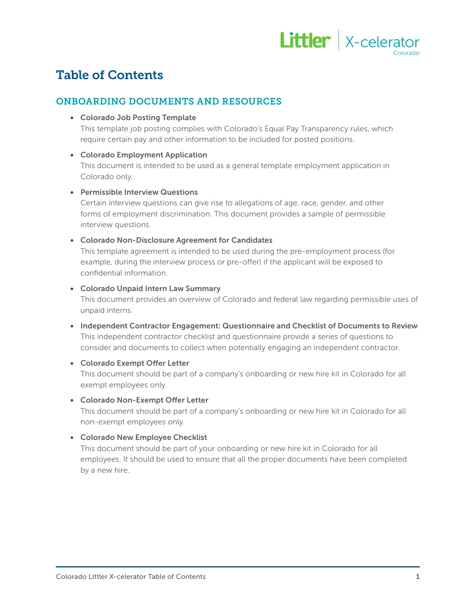

# Table of Contents

# ONBOARDING DOCUMENTS AND RESOURCES

• Colorado Job Posting Template

This template job posting complies with Colorado's Equal Pay Transparency rules, which require certain pay and other information to be included for posted positions.

# • Colorado Employment Application

This document is intended to be used as a general template employment application in Colorado only.

# • Permissible Interview Questions

Certain interview questions can give rise to allegations of age, race, gender, and other forms of employment discrimination. This document provides a sample of permissible interview questions.

# • Colorado Non-Disclosure Agreement for Candidates

This template agreement is intended to be used during the pre-employment process (for example, during the interview process or pre-offer) if the applicant will be exposed to confidential information.

# • Colorado Unpaid Intern Law Summary

This document provides an overview of Colorado and federal law regarding permissible uses of unpaid interns.

• Independent Contractor Engagement: Questionnaire and Checklist of Documents to Review This independent contractor checklist and questionnaire provide a series of questions to consider and documents to collect when potentially engaging an independent contractor.

# • Colorado Exempt Offer Letter

This document should be part of a company's onboarding or new hire kit in Colorado for all exempt employees only.

# • Colorado Non-Exempt Offer Letter

This document should be part of a company's onboarding or new hire kit in Colorado for all non-exempt employees only.

# • Colorado New Employee Checklist

This document should be part of your onboarding or new hire kit in Colorado for all employees. It should be used to ensure that all the proper documents have been completed by a new hire.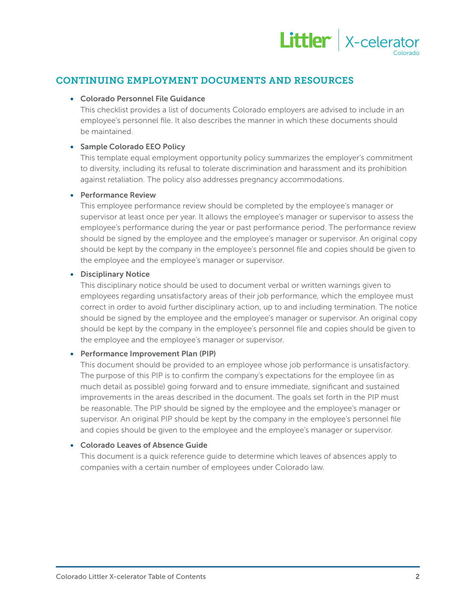

# CONTINUING EMPLOYMENT DOCUMENTS AND RESOURCES

#### • Colorado Personnel File Guidance

This checklist provides a list of documents Colorado employers are advised to include in an employee's personnel file. It also describes the manner in which these documents should be maintained.

#### • Sample Colorado EEO Policy

This template equal employment opportunity policy summarizes the employer's commitment to diversity, including its refusal to tolerate discrimination and harassment and its prohibition against retaliation. The policy also addresses pregnancy accommodations.

#### • Performance Review

This employee performance review should be completed by the employee's manager or supervisor at least once per year. It allows the employee's manager or supervisor to assess the employee's performance during the year or past performance period. The performance review should be signed by the employee and the employee's manager or supervisor. An original copy should be kept by the company in the employee's personnel file and copies should be given to the employee and the employee's manager or supervisor.

#### • Disciplinary Notice

This disciplinary notice should be used to document verbal or written warnings given to employees regarding unsatisfactory areas of their job performance, which the employee must correct in order to avoid further disciplinary action, up to and including termination. The notice should be signed by the employee and the employee's manager or supervisor. An original copy should be kept by the company in the employee's personnel file and copies should be given to the employee and the employee's manager or supervisor.

# • Performance Improvement Plan (PIP)

This document should be provided to an employee whose job performance is unsatisfactory. The purpose of this PIP is to confirm the company's expectations for the employee (in as much detail as possible) going forward and to ensure immediate, significant and sustained improvements in the areas described in the document. The goals set forth in the PIP must be reasonable. The PIP should be signed by the employee and the employee's manager or supervisor. An original PIP should be kept by the company in the employee's personnel file and copies should be given to the employee and the employee's manager or supervisor.

# • Colorado Leaves of Absence Guide

This document is a quick reference guide to determine which leaves of absences apply to companies with a certain number of employees under Colorado law.